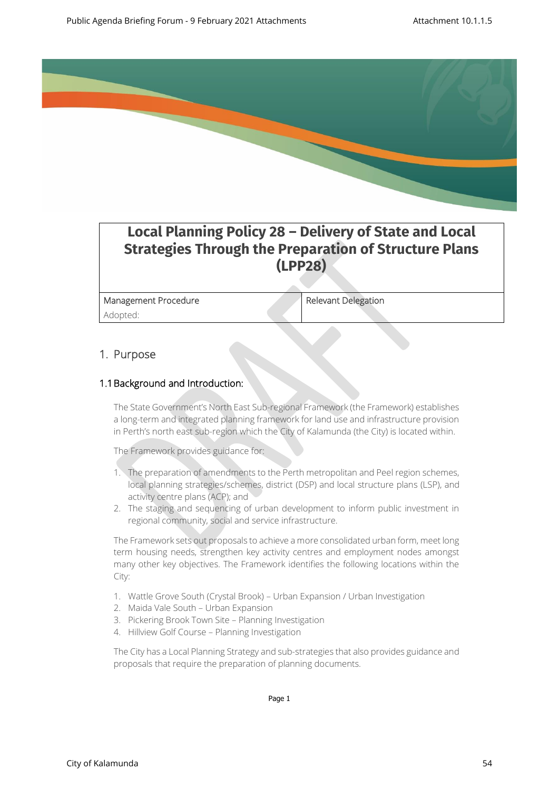

# **Local Planning Policy 28 – Delivery of State and Local Strategies Through the Preparation of Structure Plans (LPP28)**

Management Procedure Relevant Delegation Adopted:

## 1. Purpose

#### 1.1Background and Introduction:

The State Government's North East Sub-regional Framework (the Framework) establishes a long-term and integrated planning framework for land use and infrastructure provision in Perth's north east sub-region which the City of Kalamunda (the City) is located within.

The Framework provides guidance for:

- 1. The preparation of amendments to the Perth metropolitan and Peel region schemes, local planning strategies/schemes, district (DSP) and local structure plans (LSP), and activity centre plans (ACP); and
- 2. The staging and sequencing of urban development to inform public investment in regional community, social and service infrastructure.

The Framework sets out proposals to achieve a more consolidated urban form, meet long term housing needs, strengthen key activity centres and employment nodes amongst many other key objectives. The Framework identifies the following locations within the City:

- 1. Wattle Grove South (Crystal Brook) Urban Expansion / Urban Investigation
- 2. Maida Vale South Urban Expansion
- 3. Pickering Brook Town Site Planning Investigation
- 4. Hillview Golf Course Planning Investigation

The City has a Local Planning Strategy and sub-strategies that also provides guidance and proposals that require the preparation of planning documents.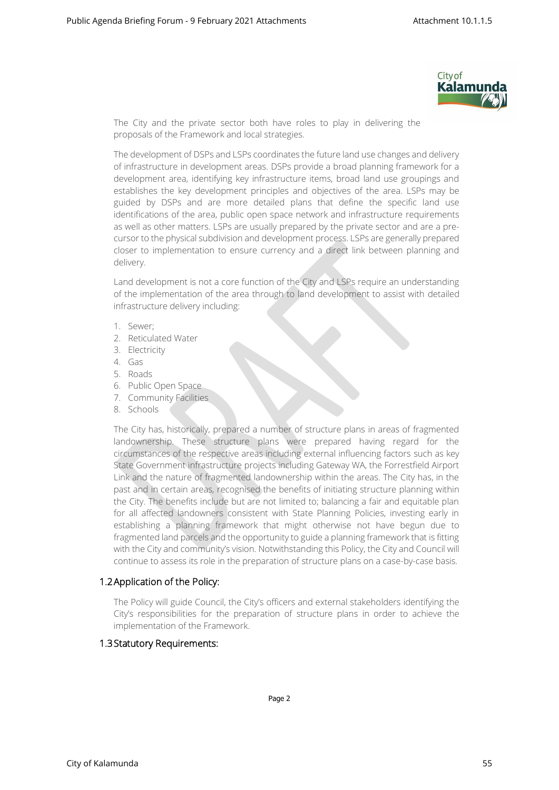

The City and the private sector both have roles to play in delivering the proposals of the Framework and local strategies.

The development of DSPs and LSPs coordinates the future land use changes and delivery of infrastructure in development areas. DSPs provide a broad planning framework for a development area, identifying key infrastructure items, broad land use groupings and establishes the key development principles and objectives of the area. LSPs may be guided by DSPs and are more detailed plans that define the specific land use identifications of the area, public open space network and infrastructure requirements as well as other matters. LSPs are usually prepared by the private sector and are a precursor to the physical subdivision and development process. LSPs are generally prepared closer to implementation to ensure currency and a direct link between planning and delivery.

Land development is not a core function of the City and LSPs require an understanding of the implementation of the area through to land development to assist with detailed infrastructure delivery including:

- 1. Sewer;
- 2. Reticulated Water
- 3. Electricity
- 4. Gas
- 5. Roads
- 6. Public Open Space
- 7. Community Facilities
- 8. Schools

The City has, historically, prepared a number of structure plans in areas of fragmented landownership. These structure plans were prepared having regard for the circumstances of the respective areas including external influencing factors such as key State Government infrastructure projects including Gateway WA, the Forrestfield Airport Link and the nature of fragmented landownership within the areas. The City has, in the past and in certain areas, recognised the benefits of initiating structure planning within the City. The benefits include but are not limited to; balancing a fair and equitable plan for all affected landowners consistent with State Planning Policies, investing early in establishing a planning framework that might otherwise not have begun due to fragmented land parcels and the opportunity to guide a planning framework that is fitting with the City and community's vision. Notwithstanding this Policy, the City and Council will continue to assess its role in the preparation of structure plans on a case-by-case basis.

## 1.2Application of the Policy:

The Policy will guide Council, the City's officers and external stakeholders identifying the City's responsibilities for the preparation of structure plans in order to achieve the implementation of the Framework.

#### 1.3Statutory Requirements: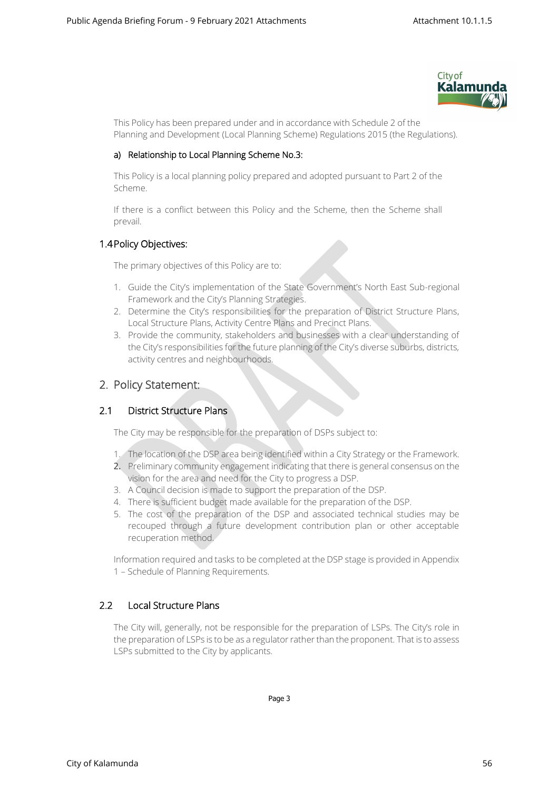

This Policy has been prepared under and in accordance with Schedule 2 of the Planning and Development (Local Planning Scheme) Regulations 2015 (the Regulations).

#### a) Relationship to Local Planning Scheme No.3:

This Policy is a local planning policy prepared and adopted pursuant to Part 2 of the Scheme.

If there is a conflict between this Policy and the Scheme, then the Scheme shall prevail.

## 1.4Policy Objectives:

The primary objectives of this Policy are to:

- 1. Guide the City's implementation of the State Government's North East Sub-regional Framework and the City's Planning Strategies.
- 2. Determine the City's responsibilities for the preparation of District Structure Plans, Local Structure Plans, Activity Centre Plans and Precinct Plans.
- 3. Provide the community, stakeholders and businesses with a clear understanding of the City's responsibilities for the future planning of the City's diverse suburbs, districts, activity centres and neighbourhoods.

## 2. Policy Statement:

## 2.1 District Structure Plans

The City may be responsible for the preparation of DSPs subject to:

- 1. The location of the DSP area being identified within a City Strategy or the Framework.
- 2. Preliminary community engagement indicating that there is general consensus on the vision for the area and need for the City to progress a DSP.
- 3. A Council decision is made to support the preparation of the DSP.
- 4. There is sufficient budget made available for the preparation of the DSP.
- 5. The cost of the preparation of the DSP and associated technical studies may be recouped through a future development contribution plan or other acceptable recuperation method.

Information required and tasks to be completed at the DSP stage is provided in Appendix 1 – Schedule of Planning Requirements.

## 2.2 Local Structure Plans

The City will, generally, not be responsible for the preparation of LSPs. The City's role in the preparation of LSPs is to be as a regulator rather than the proponent. That is to assess LSPs submitted to the City by applicants.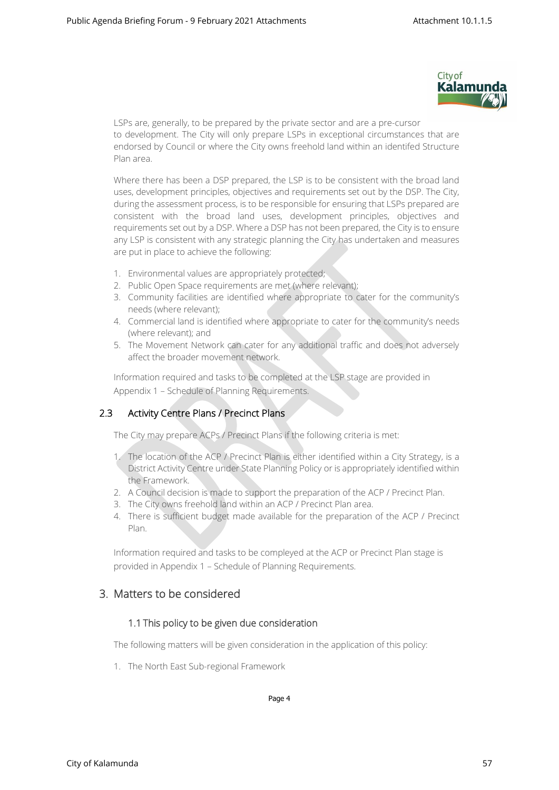

LSPs are, generally, to be prepared by the private sector and are a pre-cursor to development. The City will only prepare LSPs in exceptional circumstances that are endorsed by Council or where the City owns freehold land within an identifed Structure Plan area.

Where there has been a DSP prepared, the LSP is to be consistent with the broad land uses, development principles, objectives and requirements set out by the DSP. The City, during the assessment process, is to be responsible for ensuring that LSPs prepared are consistent with the broad land uses, development principles, objectives and requirements set out by a DSP. Where a DSP has not been prepared, the City is to ensure any LSP is consistent with any strategic planning the City has undertaken and measures are put in place to achieve the following:

- 1. Environmental values are appropriately protected;
- 2. Public Open Space requirements are met (where relevant);
- 3. Community facilities are identified where appropriate to cater for the community's needs (where relevant);
- 4. Commercial land is identified where appropriate to cater for the community's needs (where relevant); and
- 5. The Movement Network can cater for any additional traffic and does not adversely affect the broader movement network.

Information required and tasks to be completed at the LSP stage are provided in Appendix 1 – Schedule of Planning Requirements.

## 2.3 Activity Centre Plans / Precinct Plans

The City may prepare ACPs / Precinct Plans if the following criteria is met:

- 1. The location of the ACP / Precinct Plan is either identified within a City Strategy, is a District Activity Centre under State Planning Policy or is appropriately identified within the Framework.
- 2. A Council decision is made to support the preparation of the ACP / Precinct Plan.
- 3. The City owns freehold land within an ACP / Precinct Plan area.
- 4. There is sufficient budget made available for the preparation of the ACP / Precinct Plan.

Information required and tasks to be compleyed at the ACP or Precinct Plan stage is provided in Appendix 1 – Schedule of Planning Requirements.

## 3. Matters to be considered

#### 1.1 This policy to be given due consideration

The following matters will be given consideration in the application of this policy:

1. The North East Sub-regional Framework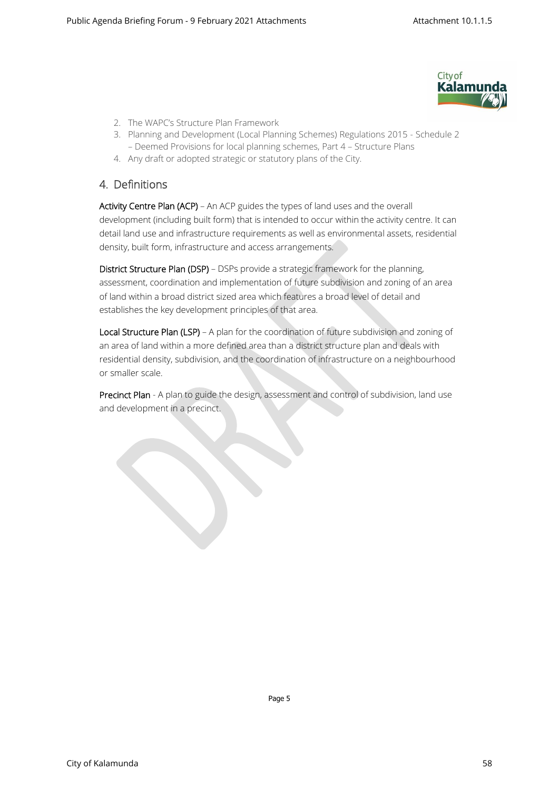

- 2. The WAPC's Structure Plan Framework
- 3. Planning and Development (Local Planning Schemes) Regulations 2015 Schedule 2 – Deemed Provisions for local planning schemes, Part 4 – Structure Plans
- 4. Any draft or adopted strategic or statutory plans of the City.

## 4. Definitions

Activity Centre Plan (ACP) – An ACP guides the types of land uses and the overall development (including built form) that is intended to occur within the activity centre. It can detail land use and infrastructure requirements as well as environmental assets, residential density, built form, infrastructure and access arrangements.

District Structure Plan (DSP) – DSPs provide a strategic framework for the planning, assessment, coordination and implementation of future subdivision and zoning of an area of land within a broad district sized area which features a broad level of detail and establishes the key development principles of that area.

Local Structure Plan (LSP) – A plan for the coordination of future subdivision and zoning of an area of land within a more defined area than a district structure plan and deals with residential density, subdivision, and the coordination of infrastructure on a neighbourhood or smaller scale.

Precinct Plan - A plan to guide the design, assessment and control of subdivision, land use and development in a precinct.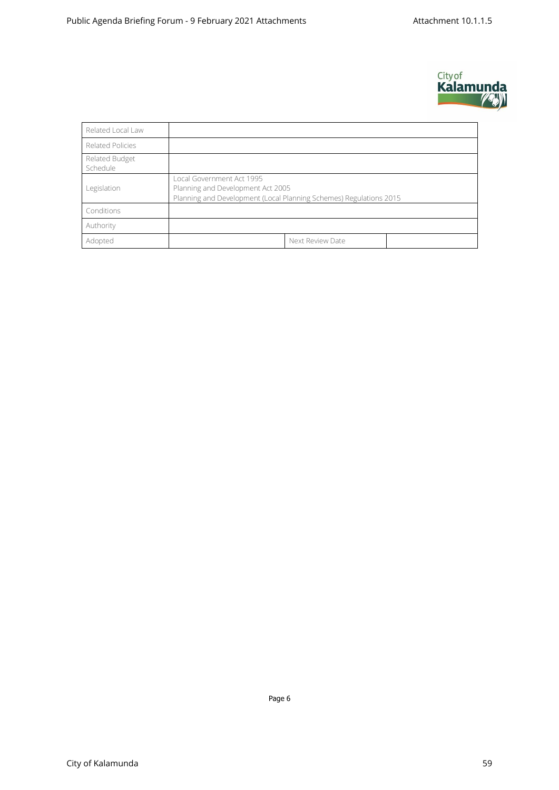

| Related Local Law          |                                                                                                                                      |  |  |  |  |  |
|----------------------------|--------------------------------------------------------------------------------------------------------------------------------------|--|--|--|--|--|
| Related Policies           |                                                                                                                                      |  |  |  |  |  |
| Related Budget<br>Schedule |                                                                                                                                      |  |  |  |  |  |
| Legislation                | Local Government Act 1995<br>Planning and Development Act 2005<br>Planning and Development (Local Planning Schemes) Regulations 2015 |  |  |  |  |  |
| Conditions                 |                                                                                                                                      |  |  |  |  |  |
| Authority                  |                                                                                                                                      |  |  |  |  |  |
| Adopted                    | Next Review Date                                                                                                                     |  |  |  |  |  |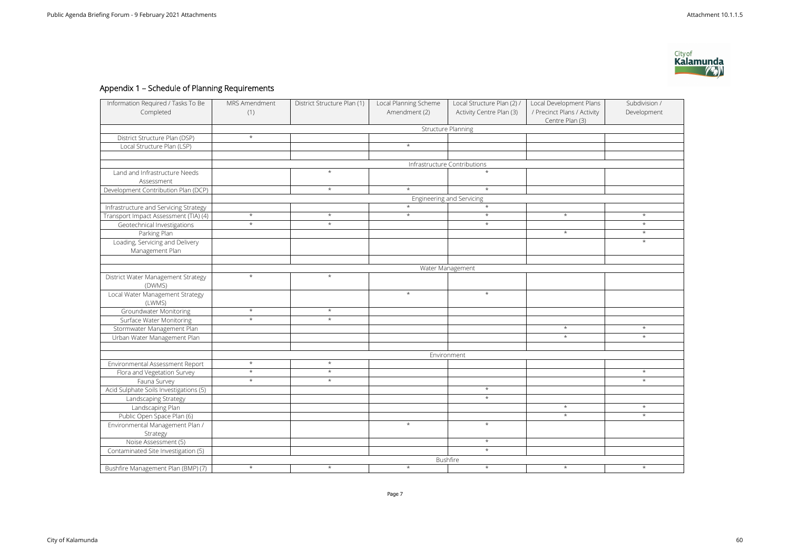# Appendix 1 – Schedule of Planning Requirements

| Information Required / Tasks To Be<br>Completed    | MRS Amendment<br>(1)         | District Structure Plan (1) | Local Planning Scheme<br>Amendment (2) | Local Structure Plan (2) /<br>Activity Centre Plan (3) | Local Development Plans<br>/ Precinct Plans / Activity<br>Centre Plan (3) | Subdivision /<br>Development |  |  |  |  |
|----------------------------------------------------|------------------------------|-----------------------------|----------------------------------------|--------------------------------------------------------|---------------------------------------------------------------------------|------------------------------|--|--|--|--|
|                                                    | <b>Structure Planning</b>    |                             |                                        |                                                        |                                                                           |                              |  |  |  |  |
| District Structure Plan (DSP)                      | $\star$                      |                             |                                        |                                                        |                                                                           |                              |  |  |  |  |
| Local Structure Plan (LSP)                         |                              |                             | $\star$                                |                                                        |                                                                           |                              |  |  |  |  |
|                                                    |                              |                             |                                        |                                                        |                                                                           |                              |  |  |  |  |
|                                                    | Infrastructure Contributions |                             |                                        |                                                        |                                                                           |                              |  |  |  |  |
| Land and Infrastructure Needs<br>Assessment        |                              | $\star$                     |                                        | $\star$                                                |                                                                           |                              |  |  |  |  |
| Development Contribution Plan (DCP)                |                              | $^\star$                    | $\star$                                | $\star$                                                |                                                                           |                              |  |  |  |  |
|                                                    | Engineering and Servicing    |                             |                                        |                                                        |                                                                           |                              |  |  |  |  |
| Infrastructure and Servicing Strategy              |                              |                             | $\star$                                | $\star$                                                |                                                                           |                              |  |  |  |  |
| Transport Impact Assessment (TIA) (4)              | $\star$                      | $\star$                     | $\star$                                | $\star$                                                | $\star$                                                                   | $\star$                      |  |  |  |  |
| Geotechnical Investigations                        | $\star$                      | $\star$                     |                                        | $\star$                                                |                                                                           | $\star$                      |  |  |  |  |
| Parking Plan                                       |                              |                             |                                        |                                                        | $\star$                                                                   | $\star$                      |  |  |  |  |
| Loading, Servicing and Delivery<br>Management Plan |                              |                             |                                        |                                                        |                                                                           | $\star$                      |  |  |  |  |
|                                                    |                              |                             |                                        |                                                        |                                                                           |                              |  |  |  |  |
|                                                    | Water Management             |                             |                                        |                                                        |                                                                           |                              |  |  |  |  |
| District Water Management Strategy<br>(DWMS)       | $\star$                      | $^{\star}$                  |                                        |                                                        |                                                                           |                              |  |  |  |  |
| Local Water Management Strategy<br>(LWMS)          |                              |                             | $\star$                                | $\star$                                                |                                                                           |                              |  |  |  |  |
| <b>Groundwater Monitoring</b>                      | $\star$                      | $\star$                     |                                        |                                                        |                                                                           |                              |  |  |  |  |
| Surface Water Monitoring                           | $\star$                      | $\star$                     |                                        |                                                        |                                                                           |                              |  |  |  |  |
| Stormwater Management Plan                         |                              |                             |                                        |                                                        | $\star$                                                                   | $\star$                      |  |  |  |  |
| Urban Water Management Plan                        |                              |                             |                                        |                                                        | $\star$                                                                   | $\star$                      |  |  |  |  |
|                                                    |                              |                             |                                        |                                                        |                                                                           |                              |  |  |  |  |
|                                                    | Environment                  |                             |                                        |                                                        |                                                                           |                              |  |  |  |  |
| Environmental Assessment Report                    | $\star$                      | $^\star$                    |                                        |                                                        |                                                                           |                              |  |  |  |  |
| Flora and Vegetation Survey                        | $\star$                      | $\star$                     |                                        |                                                        |                                                                           | $\star$                      |  |  |  |  |
| Fauna Survey                                       | $^\star$                     | $^\star$                    |                                        |                                                        |                                                                           | $\star$                      |  |  |  |  |
| Acid Sulphate Soils Investigations (5)             |                              |                             |                                        | $\star$                                                |                                                                           |                              |  |  |  |  |
| Landscaping Strategy                               |                              |                             |                                        | $\star$                                                |                                                                           |                              |  |  |  |  |
| Landscaping Plan                                   |                              |                             |                                        |                                                        | $\star$                                                                   | $\star$                      |  |  |  |  |
| Public Open Space Plan (6)                         |                              |                             |                                        |                                                        | $\star$                                                                   | $\star$                      |  |  |  |  |
| Environmental Management Plan /<br>Strategy        |                              |                             | $\star$                                | $\star$                                                |                                                                           |                              |  |  |  |  |
| Noise Assessment (5)                               |                              |                             |                                        | $\star$                                                |                                                                           |                              |  |  |  |  |
| Contaminated Site Investigation (5)                |                              |                             |                                        | $\star$                                                |                                                                           |                              |  |  |  |  |
|                                                    | Bushfire                     |                             |                                        |                                                        |                                                                           |                              |  |  |  |  |
| Bushfire Management Plan (BMP) (7)                 | $\star$                      | $\star$                     | $\star$                                | $\star$                                                | $\star$                                                                   | $\star$                      |  |  |  |  |